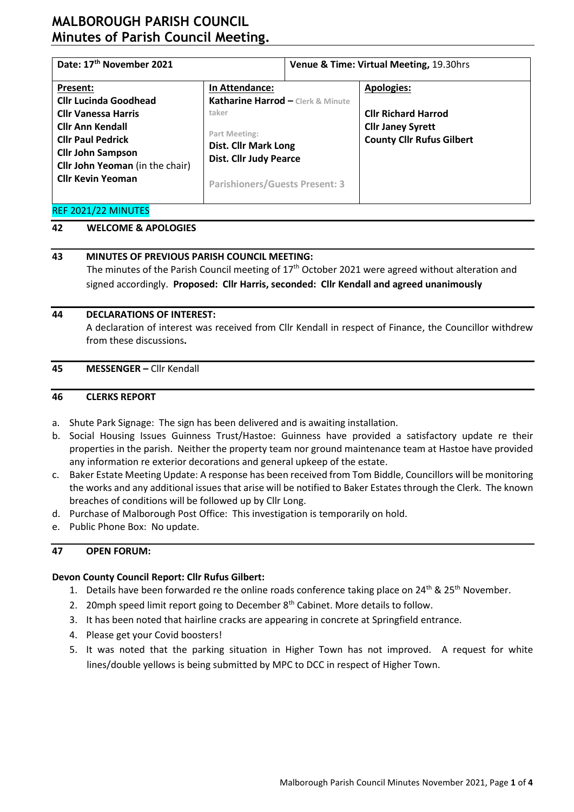# **MALBOROUGH PARISH COUNCIL Minutes of Parish Council Meeting.**

| Date: 17th November 2021                                                                                                                                                            |                                                                                                                                 | Venue & Time: Virtual Meeting, 19.30hrs |                                                                                            |
|-------------------------------------------------------------------------------------------------------------------------------------------------------------------------------------|---------------------------------------------------------------------------------------------------------------------------------|-----------------------------------------|--------------------------------------------------------------------------------------------|
| Present:<br><b>Cllr Lucinda Goodhead</b>                                                                                                                                            | In Attendance:<br>Katharine Harrod - Clerk & Minute                                                                             |                                         | <b>Apologies:</b>                                                                          |
| <b>Cllr Vanessa Harris</b><br><b>Cllr Ann Kendall</b><br><b>Cllr Paul Pedrick</b><br><b>Cllr John Sampson</b><br><b>Cllr John Yeoman</b> (in the chair)<br><b>Cllr Kevin Yeoman</b> | taker<br>Part Meeting:<br><b>Dist. Cllr Mark Long</b><br><b>Dist. Cllr Judy Pearce</b><br><b>Parishioners/Guests Present: 3</b> |                                         | <b>Cllr Richard Harrod</b><br><b>Cllr Janey Syrett</b><br><b>County Cllr Rufus Gilbert</b> |

#### REF 2021/22 MINUTES

## **42 WELCOME & APOLOGIES**

#### **43 MINUTES OF PREVIOUS PARISH COUNCIL MEETING:**

The minutes of the Parish Council meeting of 17<sup>th</sup> October 2021 were agreed without alteration and signed accordingly. **Proposed: Cllr Harris, seconded: Cllr Kendall and agreed unanimously**

#### **44 DECLARATIONS OF INTEREST:**

A declaration of interest was received from Cllr Kendall in respect of Finance, the Councillor withdrew from these discussions**.**

#### **45 MESSENGER –** Cllr Kendall

#### **46 CLERKS REPORT**

- a. Shute Park Signage: The sign has been delivered and is awaiting installation.
- b. Social Housing Issues Guinness Trust/Hastoe: Guinness have provided a satisfactory update re their properties in the parish. Neither the property team nor ground maintenance team at Hastoe have provided any information re exterior decorations and general upkeep of the estate.
- c. Baker Estate Meeting Update: A response has been received from Tom Biddle, Councillors will be monitoring the works and any additional issues that arise will be notified to Baker Estates through the Clerk. The known breaches of conditions will be followed up by Cllr Long.
- d. Purchase of Malborough Post Office: This investigation is temporarily on hold.
- e. Public Phone Box: No update.

#### **47 OPEN FORUM:**

#### **Devon County Council Report: Cllr Rufus Gilbert:**

- 1. Details have been forwarded re the online roads conference taking place on  $24^{th}$  &  $25^{th}$  November.
- 2. 20mph speed limit report going to December 8<sup>th</sup> Cabinet. More details to follow.
- 3. It has been noted that hairline cracks are appearing in concrete at Springfield entrance.
- 4. Please get your Covid boosters!
- 5. It was noted that the parking situation in Higher Town has not improved. A request for white lines/double yellows is being submitted by MPC to DCC in respect of Higher Town.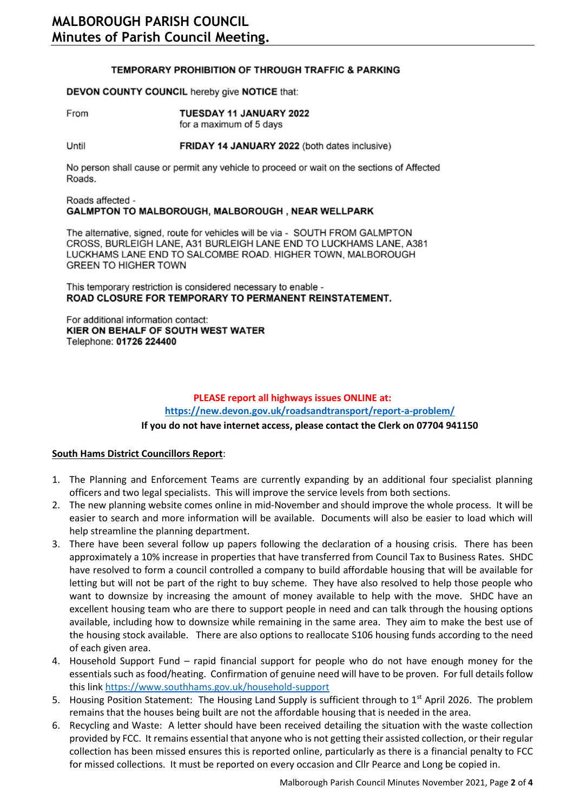#### TEMPORARY PROHIBITION OF THROUGH TRAFFIC & PARKING

#### DEVON COUNTY COUNCIL hereby give NOTICE that:

From TUESDAY 11 JANUARY 2022 for a maximum of 5 days

FRIDAY 14 JANUARY 2022 (both dates inclusive) Until

No person shall cause or permit any vehicle to proceed or wait on the sections of Affected Roads.

#### Roads affected -GALMPTON TO MALBOROUGH, MALBOROUGH, NEAR WELLPARK

The alternative, signed, route for vehicles will be via - SOUTH FROM GALMPTON CROSS, BURLEIGH LANE, A31 BURLEIGH LANE END TO LUCKHAMS LANE, A381 LUCKHAMS LANE END TO SALCOMBE ROAD. HIGHER TOWN, MALBOROUGH **GREEN TO HIGHER TOWN** 

This temporary restriction is considered necessary to enable -ROAD CLOSURE FOR TEMPORARY TO PERMANENT REINSTATEMENT.

For additional information contact: KIER ON BEHALF OF SOUTH WEST WATER Telephone: 01726 224400

## **PLEASE report all highways issues ONLINE at: <https://new.devon.gov.uk/roadsandtransport/report-a-problem/> If you do not have internet access, please contact the Clerk on 07704 941150**

#### **South Hams District Councillors Report**:

- 1. The Planning and Enforcement Teams are currently expanding by an additional four specialist planning officers and two legal specialists. This will improve the service levels from both sections.
- 2. The new planning website comes online in mid-November and should improve the whole process. It will be easier to search and more information will be available. Documents will also be easier to load which will help streamline the planning department.
- 3. There have been several follow up papers following the declaration of a housing crisis. There has been approximately a 10% increase in properties that have transferred from Council Tax to Business Rates. SHDC have resolved to form a council controlled a company to build affordable housing that will be available for letting but will not be part of the right to buy scheme. They have also resolved to help those people who want to downsize by increasing the amount of money available to help with the move. SHDC have an excellent housing team who are there to support people in need and can talk through the housing options available, including how to downsize while remaining in the same area. They aim to make the best use of the housing stock available. There are also options to reallocate S106 housing funds according to the need of each given area.
- 4. Household Support Fund rapid financial support for people who do not have enough money for the essentials such as food/heating. Confirmation of genuine need will have to be proven. For full details follow this link <https://www.southhams.gov.uk/household-support>
- 5. Housing Position Statement: The Housing Land Supply is sufficient through to 1<sup>st</sup> April 2026. The problem remains that the houses being built are not the affordable housing that is needed in the area.
- 6. Recycling and Waste: A letter should have been received detailing the situation with the waste collection provided by FCC. It remains essential that anyone who is not getting their assisted collection, or their regular collection has been missed ensures this is reported online, particularly as there is a financial penalty to FCC for missed collections. It must be reported on every occasion and Cllr Pearce and Long be copied in.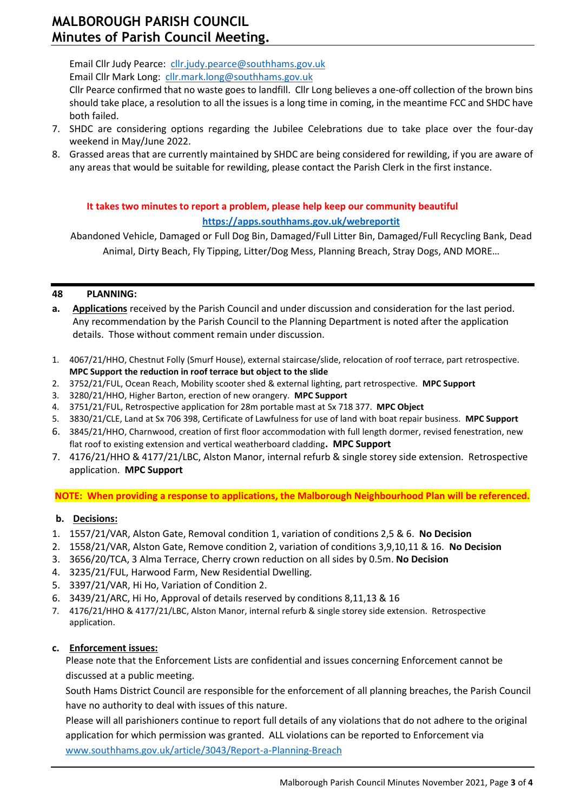# **MALBOROUGH PARISH COUNCIL Minutes of Parish Council Meeting.**

Email Cllr Judy Pearce: <cllr.judy.pearce@southhams.gov.uk> Email Cllr Mark Long: [cllr.mark.long@southhams.gov.uk](mailto:cllr.mark.long@southhams.gov.uk)

Cllr Pearce confirmed that no waste goes to landfill. Cllr Long believes a one-off collection of the brown bins should take place, a resolution to all the issues is a long time in coming, in the meantime FCC and SHDC have both failed.

- 7. SHDC are considering options regarding the Jubilee Celebrations due to take place over the four-day weekend in May/June 2022.
- 8. Grassed areas that are currently maintained by SHDC are being considered for rewilding, if you are aware of any areas that would be suitable for rewilding, please contact the Parish Clerk in the first instance.

## **It takes two minutes to report a problem, please help keep our community beautiful <https://apps.southhams.gov.uk/webreportit>**

Abandoned Vehicle, Damaged or Full Dog Bin, Damaged/Full Litter Bin, Damaged/Full Recycling Bank, Dead Animal, Dirty Beach, Fly Tipping, Litter/Dog Mess, Planning Breach, Stray Dogs, AND MORE…

## **48 PLANNING:**

- **a. Applications** received by the Parish Council and under discussion and consideration for the last period. Any recommendation by the Parish Council to the Planning Department is noted after the application details. Those without comment remain under discussion.
- 1. 4067/21/HHO, Chestnut Folly (Smurf House), external staircase/slide, relocation of roof terrace, part retrospective. **MPC Support the reduction in roof terrace but object to the slide**
- 2. 3752/21/FUL, Ocean Reach, Mobility scooter shed & external lighting, part retrospective. **MPC Support**
- 3. 3280/21/HHO, Higher Barton, erection of new orangery. **MPC Support**
- 4. 3751/21/FUL, Retrospective application for 28m portable mast at Sx 718 377. **MPC Object**
- 5. 3830/21/CLE, Land at Sx 706 398, Certificate of Lawfulness for use of land with boat repair business. **MPC Support**
- 6. 3845/21/HHO, Charnwood, creation of first floor accommodation with full length dormer, revised fenestration, new flat roof to existing extension and vertical weatherboard cladding**. MPC Support**
- 7. 4176/21/HHO & 4177/21/LBC, Alston Manor, internal refurb & single storey side extension. Retrospective application. **MPC Support**

**NOTE: When providing a response to applications, the Malborough Neighbourhood Plan will be referenced.**

## **b. Decisions:**

- 1. 1557/21/VAR, Alston Gate, Removal condition 1, variation of conditions 2,5 & 6. **No Decision**
- 2. 1558/21/VAR, Alston Gate, Remove condition 2, variation of conditions 3,9,10,11 & 16. **No Decision**
- 3. 3656/20/TCA, 3 Alma Terrace, Cherry crown reduction on all sides by 0.5m. **No Decision**
- 4. 3235/21/FUL, Harwood Farm, New Residential Dwelling.
- 5. 3397/21/VAR, Hi Ho, Variation of Condition 2.
- 6. 3439/21/ARC, Hi Ho, Approval of details reserved by conditions 8,11,13 & 16
- 7. 4176/21/HHO & 4177/21/LBC, Alston Manor, internal refurb & single storey side extension. Retrospective application.

## **c. Enforcement issues:**

Please note that the Enforcement Lists are confidential and issues concerning Enforcement cannot be discussed at a public meeting.

South Hams District Council are responsible for the enforcement of all planning breaches, the Parish Council have no authority to deal with issues of this nature.

Please will all parishioners continue to report full details of any violations that do not adhere to the original application for which permission was granted. ALL violations can be reported to Enforcement via [www.southhams.gov.uk/article/3043/Report-a-Planning-Breach](http://www.southhams.gov.uk/article/3043/Report-a-Planning-Breach)